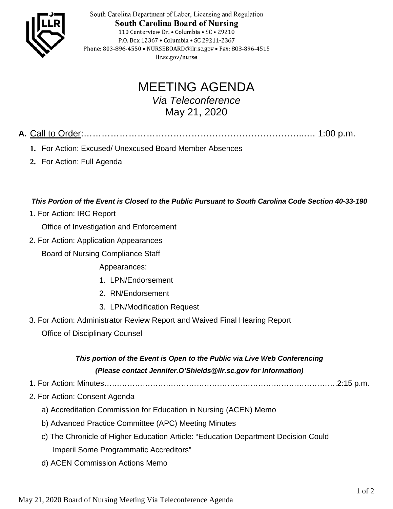

South Carolina Department of Labor, Licensing and Regulation **South Carolina Board of Nursing** 110 Centerview Dr. • Columbia • SC • 29210 P.O. Box 12367 . Columbia . SC 29211-2367 Phone: 803-896-4550 • NURSEBOARD@llr.sc.gov • Fax: 803-896-4515 llr.sc.gov/nurse

## MEETING AGENDA

*Via Teleconference* May 21, 2020

**A.** Call to Order:………………………………………………………………...… 1:00 p.m.

- **1.** For Action: Excused/ Unexcused Board Member Absences
- **2.** For Action: Full Agenda

*This Portion of the Event is Closed to the Public Pursuant to South Carolina Code Section 40-33-190*

1. For Action: IRC Report

Office of Investigation and Enforcement

2. For Action: Application Appearances

Board of Nursing Compliance Staff

Appearances:

- 1. LPN/Endorsement
- 2. RN/Endorsement
- 3. LPN/Modification Request
- 3. For Action: Administrator Review Report and Waived Final Hearing Report Office of Disciplinary Counsel

## *This portion of the Event is Open to the Public via Live Web Conferencing (Please contact Jennifer.O'Shields@llr.sc.gov for Information)*

- 1. For Action: Minutes……………………………………………………………………………….2:15 p.m.
- 2. For Action: Consent Agenda
	- a) Accreditation Commission for Education in Nursing (ACEN) Memo
	- b) Advanced Practice Committee (APC) Meeting Minutes
	- c) The Chronicle of Higher Education Article: "Education Department Decision Could Imperil Some Programmatic Accreditors"
	- d) ACEN Commission Actions Memo